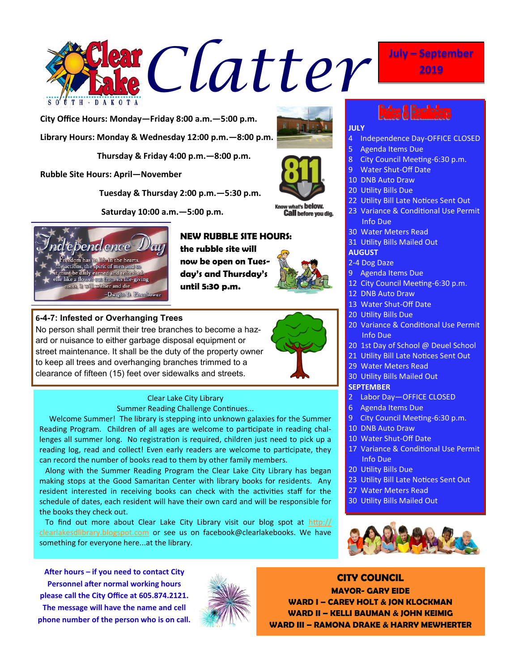

**City Office Hours: Monday—Friday 8:00 a.m.—5:00 p.m. Library Hours: Monday & Wednesday 12:00 p.m.—8:00 p.m.**

 **Thursday & Friday 4:00 p.m.—8:00 p.m.**

**Rubble Site Hours: April—November**

 **Tuesday & Thursday 2:00 p.m.—5:30 p.m.**

Clear Lake City Library Summer Reading Challenge Continues... Welcome Summer! The library is stepping into unknown galaxies for the Summer

resident interested in receiving books can check with the activities staff for the schedule of dates, each resident will have their own card and will be responsible for

 To find out more about Clear Lake City Library visit our blog spot at [http://](http://clearlakesdlibrary.blogspot.com/) [clearlakesdlibrary.blogspot.com](http://clearlakesdlibrary.blogspot.com/) or see us on facebook@clearlakebooks. We have

can record the number of books read to them by other family members.

 **Saturday 10:00 a.m.—5:00 p.m.**

No person shall permit their tree branches to become a hazard or nuisance to either garbage disposal equipment or street maintenance. It shall be the duty of the property owner to keep all trees and overhanging branches trimmed to a clearance of fifteen (15) feet over sidewalks and streets.



**6-4-7: Infested or Overhanging Trees**

# **NEW RUBBLE SITE HOURS:**

**the rubble site will now be open on Tuesday's and Thursday's until 5:30 p.m.**





t's below. **Call** before you dig.



23 Variance & Conditional Use Permit Info Due

4 Independence Day-OFFICE CLOSED

8 City Council Meeting-6:30 p.m.

30 Water Meters Read

5 Agenda Items Due

- 31 Utility Bills Mailed Out
- **AUGUST**

## 2-4 Dog Daze

- 9 Agenda Items Due
- 12 City Council Meeting-6:30 p.m.
- 12 DNB Auto Draw
- 13 Water Shut-Off Date
- 20 Utility Bills Due
- 20 Variance & Conditional Use Permit Info Due
- 20 1st Day of School @ Deuel School
- 21 Utility Bill Late Notices Sent Out
- 29 Water Meters Read
- 30 Utility Bills Mailed Out

# **SEPTEMBER**

- 2 Labor Day—OFFICE CLOSED
- 6 Agenda Items Due
- 9 City Council Meeting-6:30 p.m.
- 
- 17 Variance & Conditional Use Permit Info Due
- 20 Utility Bills Due
- 23 Utility Bill Late Notices Sent Out
- 
- 30 Utility Bills Mailed Out



**After hours – if you need to contact City Personnel after normal working hours please call the City Office at 605.874.2121. The message will have the name and cell phone number of the person who is on call.**

something for everyone here...at the library.

the books they check out.



**CITY COUNCIL MAYOR- GARY EIDE WARD I – CAREY HOLT & JON KLOCKMAN WARD II – KELLI BAUMAN & JOHN KEIMIG WARD III – RAMONA DRAKE & HARRY MEWHERTER**



- - -



- 
- 
- 10 DNB Auto Draw
- 10 Water Shut-Off Date
- Reading Program. Children of all ages are welcome to participate in reading challenges all summer long. No registration is required, children just need to pick up a reading log, read and collect! Even early readers are welcome to participate, they
	- -
- Along with the Summer Reading Program the Clear Lake City Library has began making stops at the Good Samaritan Center with library books for residents. Any
	- 27 Water Meters Read
	-



**2019**